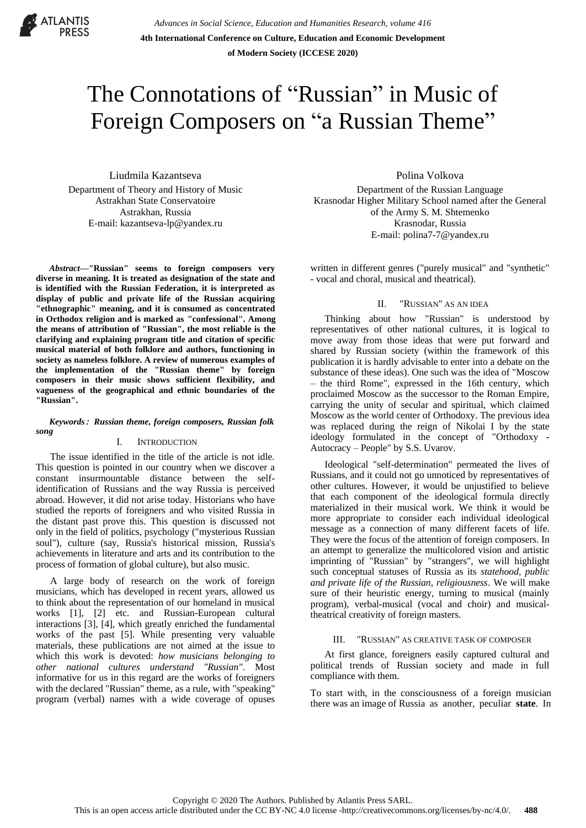

*Advances in Social Science, Education and Humanities Research, volume 416* **4th International Conference on Culture, Education and Economic Development of Modern Society (ICCESE 2020)**

# The Connotations of "Russian" in Music of Foreign Composers on "a Russian Theme"

Liudmila Kazantseva Department of Theory and History of Music Astrakhan State Conservatoire Astrakhan, Russia E-mail: kazantseva-lp@yandex.ru

*Abstract***—"Russian" seems to foreign composers very diverse in meaning. It is treated as designation of the state and is identified with the Russian Federation, it is interpreted as display of public and private life of the Russian acquiring "ethnographic" meaning, and it is consumed as concentrated in Orthodox religion and is marked as "confessional". Among the means of attribution of "Russian", the most reliable is the clarifying and explaining program title and citation of specific musical material of both folklore and authors, functioning in society as nameless folklore. A review of numerous examples of the implementation of the "Russian theme" by foreign composers in their music shows sufficient flexibility, and vagueness of the geographical and ethnic boundaries of the "Russian".** 

#### *Keywords*: *Russian theme, foreign composers, Russian folk song*

### I. INTRODUCTION

The issue identified in the title of the article is not idle. This question is pointed in our country when we discover a constant insurmountable distance between the selfidentification of Russians and the way Russia is perceived abroad. However, it did not arise today. Historians who have studied the reports of foreigners and who visited Russia in the distant past prove this. This question is discussed not only in the field of politics, psychology ("mysterious Russian soul"), culture (say, Russia's historical mission, Russia's achievements in literature and arts and its contribution to the process of formation of global culture), but also music.

A large body of research on the work of foreign musicians, which has developed in recent years, allowed us to think about the representation of our homeland in musical works [1], [2] etc. and Russian-European cultural interactions [3], [4], which greatly enriched the fundamental works of the past [5]. While presenting very valuable materials, these publications are not aimed at the issue to which this work is devoted: *how musicians belonging to other national cultures understand "Russian"*. Most informative for us in this regard are the works of foreigners with the declared "Russian" theme, as a rule, with "speaking" program (verbal) names with a wide coverage of opuses

Polina Volkova Department of the Russian Language Krasnodar Higher Military School named after the General of the Army S. M. Shtemenko Krasnodar, Russia E-mail: polina7-7@yandex.ru

written in different genres ("purely musical" and "synthetic" - vocal and choral, musical and theatrical).

# II. "RUSSIAN" AS AN IDEA

Thinking about how "Russian" is understood by representatives of other national cultures, it is logical to move away from those ideas that were put forward and shared by Russian society (within the framework of this publication it is hardly advisable to enter into a debate on the substance of these ideas). One such was the idea of "Moscow – the third Rome", expressed in the 16th century, which proclaimed Moscow as the successor to the Roman Empire, carrying the unity of secular and spiritual, which claimed Moscow as the world center of Orthodoxy. The previous idea was replaced during the reign of Nikolai I by the state ideology formulated in the concept of "Orthodoxy - Autocracy – People" by S.S. Uvarov.

Ideological "self-determination" permeated the lives of Russians, and it could not go unnoticed by representatives of other cultures. However, it would be unjustified to believe that each component of the ideological formula directly materialized in their musical work. We think it would be more appropriate to consider each individual ideological message as a connection of many different facets of life. They were the focus of the attention of foreign composers. In an attempt to generalize the multicolored vision and artistic imprinting of "Russian" by "strangers", we will highlight such conceptual statuses of Russia as its *statehood, public and private life of the Russian, religiousness*. We will make sure of their heuristic energy, turning to musical (mainly program), verbal-musical (vocal and choir) and musicaltheatrical creativity of foreign masters.

#### III. "RUSSIAN" AS CREATIVE TASK OF COMPOSER

At first glance, foreigners easily captured cultural and political trends of Russian society and made in full compliance with them.

To start with, in the consciousness of a foreign musician there was an image of Russia as another, peculiar **state**. In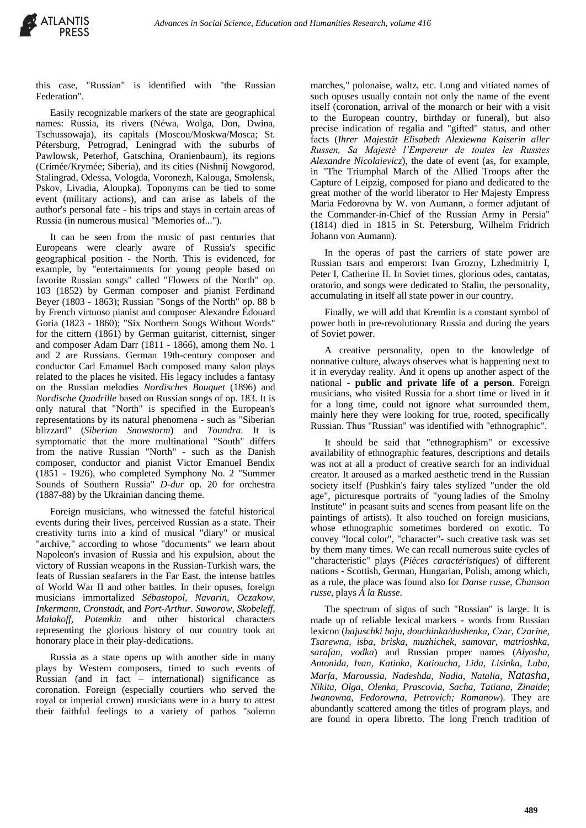this case, "Russian" is identified with "the Russian Federation".

Easily recognizable markers of the state are geographical names: Russia, its rivers (Néwa, Wolga, Don, Dwina, Tschussowaja), its capitals (Moscou/Moskwa/Mosca; St. Pétersburg, Petrograd, Leningrad with the suburbs of Pawlowsk, Peterhof, Gatschina, Oranienbaum), its regions (Crimée/Krymée; Siberia), and its cities (Nishnij Nowgorod, Stalingrad, Odessa, Vologda, Voronezh, Kalouga, Smolensk, Pskov, Livadia, Aloupka). Toponyms can be tied to some event (military actions), and can arise as labels of the author's personal fate - his trips and stays in certain areas of Russia (in numerous musical "Memories of...").

It can be seen from the music of past centuries that Europeans were clearly aware of Russia's specific geographical position - the North. This is evidenced, for example, by "entertainments for young people based on favorite Russian songs" called "Flowers of the North" op. 103 (1852) by German composer and pianist Ferdinand Beyer (1803 - 1863); Russian "Songs of the North" op. 88 b by French virtuoso pianist and composer Alexandre Édouard Goria (1823 - 1860); "Six Northern Songs Without Words" for the cittern (1861) by German guitarist, citternist, singer and composer Adam Darr (1811 - 1866), among them No. 1 and 2 are Russians. German 19th-century composer and conductor Carl Emanuel Bach composed many salon plays related to the places he visited. His legacy includes a fantasy on the Russian melodies *Nordisches Bouquet* (1896) and *Nordische Quadrille* based on Russian songs of op. 183. It is only natural that "North" is specified in the European's representations by its natural phenomena - such as "Siberian blizzard" (*Siberian Snowstorm*) and *Toundra*. It is symptomatic that the more multinational "South" differs from the native Russian "North" - such as the Danish composer, conductor and pianist Victor Emanuel Bendix (1851 - 1926), who completed Symphony No. 2 "Summer Sounds of Southern Russia" *D-dur* op. 20 for orchestra (1887-88) by the Ukrainian dancing theme.

Foreign musicians, who witnessed the fateful historical events during their lives, perceived Russian as a state. Their creativity turns into a kind of musical "diary" or musical "archive," according to whose "documents" we learn about Napoleon's invasion of Russia and his expulsion, about the victory of Russian weapons in the Russian-Turkish wars, the feats of Russian seafarers in the Far East, the intense battles of World War II and other battles. In their opuses, foreign musicians immortalized *Sébastopol, Navarin, Oczakow, Inkermann, Cronstadt,* and *Port-Arthur*. *Suworow, Skobeleff, Malakoff, Potemkin* and other historical characters representing the glorious history of our country took an honorary place in their play-dedications.

Russia as a state opens up with another side in many plays by Western composers, timed to such events of Russian (and in fact – international) significance as coronation. Foreign (especially courtiers who served the royal or imperial crown) musicians were in a hurry to attest their faithful feelings to a variety of pathos "solemn

marches," polonaise, waltz, etc. Long and vitiated names of such opuses usually contain not only the name of the event itself (coronation, arrival of the monarch or heir with a visit to the European country, birthday or funeral), but also precise indication of regalia and "gifted" status, and other facts (*Ihrer Majestät Elisabeth Alexiewna Kaiserin aller Russen, Sa Majesté l'Empereur de toutes les Russies Alexandre Nicolaievicz*), the date of event (as, for example, in "The Triumphal March of the Allied Troops after the Capture of Leipzig, composed for piano and dedicated to the great mother of the world liberator to Her Majesty Empress Maria Fedorovna by W. von Aumann, a former adjutant of the Commander-in-Chief of the Russian Army in Persia" (1814) died in 1815 in St. Petersburg, Wilhelm Fridrich Johann von Aumann).

In the operas of past the carriers of state power are Russian tsars and emperors: Ivan Grozny, Lzhedmitriy I, Peter I, Catherine II. In Soviet times, glorious odes, cantatas, oratorio, and songs were dedicated to Stalin, the personality, accumulating in itself all state power in our country.

Finally, we will add that Kremlin is a constant symbol of power both in pre-revolutionary Russia and during the years of Soviet power.

A creative personality, open to the knowledge of nonnative culture, always observes what is happening next to it in everyday reality. And it opens up another aspect of the national - **public and private life of a person**. Foreign musicians, who visited Russia for a short time or lived in it for a long time, could not ignore what surrounded them, mainly here they were looking for true, rooted, specifically Russian. Thus "Russian" was identified with "ethnographic".

It should be said that "ethnographism" or excessive availability of ethnographic features, descriptions and details was not at all a product of creative search for an individual creator. It aroused as a marked aesthetic trend in the Russian society itself (Pushkin's fairy tales stylized "under the old age", picturesque portraits of "young [ladies of the Smolny](https://www.multitran.com/m.exe?s=lady+of+the+Smolny+Institute&l1=1&l2=2)  [Institute"](https://www.multitran.com/m.exe?s=lady+of+the+Smolny+Institute&l1=1&l2=2) in peasant suits and scenes from peasant life on the paintings of artists). It also touched on foreign musicians, whose ethnographic sometimes bordered on exotic. To convey "local color", "character"- such creative task was set by them many times. We can recall numerous suite cycles of "characteristic" plays (*Pièces caractéristiques*) of different nations - Scottish, German, Hungarian, Polish, among which, as a rule, the place was found also for *Danse russe, Chanson russe*, plays *À la Russe*.

The spectrum of signs of such "Russian" is large. It is made up of reliable lexical markers - words from Russian lexicon (*bajuschki baju, douchinka/dushenkа, Czar, Czarine, Tsarewna, isba, briska, muzhichek, samovar, matrioshka, sarafan, vodka*) and Russian proper names (*Alyosha, Antonida, Ivan*, *Katinka, Katioucha, Lida, Lisinka, Luba*, *Marfa*, *Maroussia, Nadeshda, Nadia*, *Natalia, Natasha*, *Nikita*, *Olga*, *Olenka, Prascovia*, *Sacha*, *Tatiana*, *Zinaide*; *Iwanowna*, *Fedorowna, Petrovich; Romanow*). They are abundantly scattered among the titles of program plays, and are found in opera libretto. The long French tradition of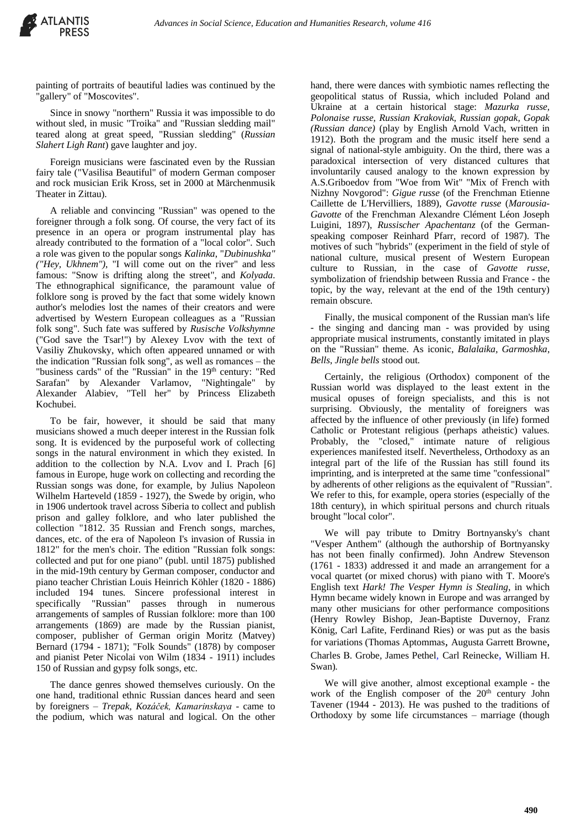painting of portraits of beautiful ladies was continued by the "gallery" of "Moscovites".

Since in snowy "northern" Russia it was impossible to do without sled, in music "Troika" and "Russian sledding mail" teared along at great speed, "Russian sledding" (*Russian Slahert Ligh Rant*) gave laughter and joy.

Foreign musicians were fascinated even by the Russian fairy tale ("Vasilisa Beautiful" of modern German composer and rock musician Erik Kross, set in 2000 at Märchenmusik Theater in Zittau).

A reliable and convincing "Russian" was opened to the foreigner through a folk song. Of course, the very fact of its presence in an opera or program instrumental play has already contributed to the formation of a "local color". Such a role was given to the popular songs *Kalinka*, "*Dubinushka" ("Hey, Ukhnem")*, "I will come out on the river" and less famous: "Snow is drifting along the street", and *Kolyada*. The ethnographical significance, the paramount value of folklore song is proved by the fact that some widely known author's melodies lost the names of their creators and were advertised by Western European colleagues as a "Russian folk song". Such fate was suffered by *Rusische Volkshymne* ("God save the Tsar!") by Alexey Lvov with the text of Vasiliy Zhukovsky, which often appeared unnamed or with the indication "Russian folk song", as well as romances – the "business cards" of the "Russian" in the 19<sup>th</sup> century: "Red Sarafan" by Alexander Varlamov, "Nightingale" by Alexander Alabiev, "Tell her" by Princess Elizabeth Kochubei.

To be fair, however, it should be said that many musicians showed a much deeper interest in the Russian folk song. It is evidenced by the purposeful work of collecting songs in the natural environment in which they existed. In addition to the collection by N.A. Lvov and I. Prach [6] famous in Europe, huge work on collecting and recording the Russian songs was done, for example, by Julius Napoleon Wilhelm Harteveld (1859 - 1927), the Swede by origin, who in 1906 undertook travel across Siberia to collect and publish prison and galley folklore, and who later published the collection "1812. 35 Russian and French songs, marches, dances, etc. of the era of Napoleon I's invasion of Russia in 1812" for the men's choir. The edition "Russian folk songs: collected and put for one piano" (publ. until 1875) published in the mid-19th century by German composer, conductor and piano teacher Christian Louis Heinrich Köhler (1820 - 1886) included 194 tunes. Sincere professional interest in specifically "Russian" passes through in numerous arrangements of samples of Russian folklore: more than 100 arrangements (1869) are made by the Russian pianist, composer, publisher of German origin Moritz (Matvey) Bernard (1794 - 1871); "Folk Sounds" (1878) by composer and pianist Peter Nicolai von Wilm (1834 - 1911) includes 150 of Russian and gypsy folk songs, etc.

The dance genres showed themselves curiously. On the one hand, traditional ethnic Russian dances heard and seen by foreigners – *Trepak, Kozáček, Kamarinskaya* - came to the podium, which was natural and logical. On the other hand, there were dances with symbiotic names reflecting the geopolitical status of Russia, which included Poland and Ukraine at a certain historical stage: *Mazurka russe, Polonaise russe, Russian Krakoviak, Russian gopak, Gopak (Russian dance)* (play by English Arnold Vach, written in 1912). Both the program and the music itself here send a signal of national-style ambiguity. On the third, there was a paradoxical intersection of very distanced cultures that involuntarily caused analogy to the known expression by A.S.Griboedov from "Woe from Wit" "Mix of French with Nizhny Novgorod": *Gigue russe* (of the Frenchman Etienne Caillette de L'Hervilliers, 1889), *Gavotte russe* (*Marousia-Gavotte* of the Frenchman Alexandre Clément Léon Joseph Luigini, 1897), *Russischer Apachentanz* (of the Germanspeaking composer Reinhard Pfarr, record of 1987). The motives of such "hybrids" (experiment in the field of style of national culture, musical present of Western European culture to Russian, in the case of *Gavotte russe,* symbolization of friendship between Russia and France - the topic, by the way, relevant at the end of the 19th century) remain obscure.

Finally, the musical component of the Russian man's life - the singing and dancing man - was provided by using appropriate musical instruments, constantly imitated in plays on the "Russian" theme. As iconic, *Balalaika, Garmoshka*, *Bells*, *Jingle bells* stood out.

Certainly, the religious (Orthodox) component of the Russian world was displayed to the least extent in the musical opuses of foreign specialists, and this is not surprising. Obviously, the mentality of foreigners was affected by the influence of other previously (in life) formed Catholic or Protestant religious (perhaps atheistic) values. Probably, the "closed," intimate nature of religious experiences manifested itself. Nevertheless, Orthodoxy as an integral part of the life of the Russian has still found its imprinting, and is interpreted at the same time "confessional" by adherents of other religions as the equivalent of "Russian". We refer to this, for example, opera stories (especially of the 18th century), in which spiritual persons and church rituals brought "local color".

We will pay tribute to Dmitry Bortnyansky's chant "Vesper Anthem" (although the authorship of Bortnyansky has not been finally confirmed). John Andrew Stevenson (1761 - 1833) addressed it and made an arrangement for a vocal quartet (or mixed chorus) with piano with T. Moore's English text *Hark! The Vesper Hymn is Stealing*, in which Hymn became widely known in Europe and was arranged by many other musicians for other performance compositions (Henry Rowley Bishop, Jean-Baptiste Duvernoy, Franz König, Carl Lafite, Ferdinand Ries) or was put as the basis for variations (Thomas Aptommas*,* Augusta Garrett Browne*,*  Charles В. Grobe*,* James Pethel*,* Carl Reinecke*,* William H. Swan)*.*

We will give another, almost exceptional example - the work of the English composer of the 20<sup>th</sup> century John Tavener (1944 - 2013). He was pushed to the traditions of Orthodoxy by some life circumstances – marriage (though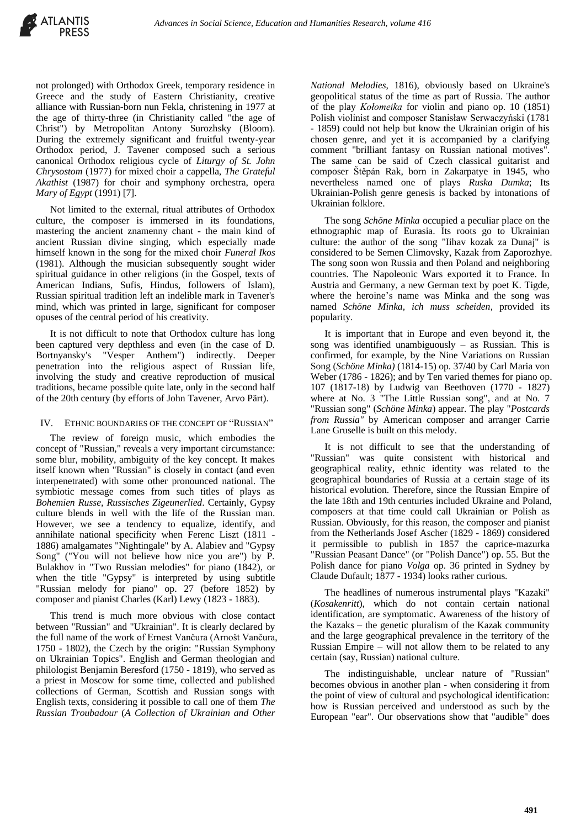

not prolonged) with Orthodox Greek, temporary residence in Greece and the study of Eastern Christianity, creative alliance with Russian-born nun Fekla, christening in 1977 at the age of thirty-three (in Christianity called "the age of Christ") by Metropolitan Antony Surozhsky (Bloom). During the extremely significant and fruitful twenty-year Orthodox period, J. Tavener composed such a serious canonical Orthodox religious cycle of *Liturgy of St. John Chrysostom* (1977) for mixed choir a cappella, *The Grateful Akathist* (1987) for choir and symphony orchestra, opera *Mary of Egypt* (1991) [7].

Not limited to the external, ritual attributes of Orthodox culture, the composer is immersed in its foundations, mastering the ancient znamenny chant - the main kind of ancient Russian divine singing, which especially made himself known in the song for the mixed choir *Funeral Ikos* (1981). Although the musician subsequently sought wider spiritual guidance in other religions (in the Gospel, texts of American Indians, Sufis, Hindus, followers of Islam), Russian spiritual tradition left an indelible mark in Tavener's mind, which was printed in large, significant for composer opuses of the central period of his creativity.

It is not difficult to note that Orthodox culture has long been captured very depthless and even (in the case of D. Bortnyansky's "Vesper Anthem") indirectly. Deeper penetration into the religious aspect of Russian life, involving the study and creative reproduction of musical traditions, became possible quite late, only in the second half of the 20th century (by efforts of John Tavener, Arvo Pärt).

# IV. ETHNIC BOUNDARIES OF THE CONCEPT OF "RUSSIAN"

The review of foreign music, which embodies the concept of "Russian," reveals a very important circumstance: some blur, mobility, ambiguity of the key concept. It makes itself known when "Russian" is closely in contact (and even interpenetrated) with some other pronounced national. The symbiotic message comes from such titles of plays as *Bohemien Russe, Russisches Zigeunerlied*. Certainly, Gypsy culture blends in well with the life of the Russian man. However, we see a tendency to equalize, identify, and annihilate national specificity when Ferenc Liszt (1811 - 1886) amalgamates "Nightingale" by A. Alabiev and "Gypsy Song" ("You will not believe how nice you are") by P. Bulakhov in "Two Russian melodies" for piano (1842), or when the title "Gypsy" is interpreted by using subtitle "Russian melody for piano" op. 27 (before 1852) by composer and pianist Charles (Karl) Lewy (1823 - 1883).

This trend is much more obvious with close contact between "Russian" and "Ukrainian". It is clearly declared by the full name of the work of Ernest Vančura (Arnošt Vančura, 1750 - 1802), the Czech by the origin: "Russian Symphony on Ukrainian Topics". English and German theologian and philologist Benjamin Beresford (1750 - 1819), who served as a priest in Moscow for some time, collected and published collections of German, Scottish and Russian songs with English texts, considering it possible to call one of them *The Russian Troubadour* (*A Collection of Ukrainian and Other* 

*National Melodies*, 1816), obviously based on Ukraine's geopolitical status of the time as part of Russia. The author of the play *Kołomeika* for violin and piano op. 10 (1851) Polish violinist and composer Stanisław Serwaczyński (1781 - 1859) could not help but know the Ukrainian origin of his chosen genre, and yet it is accompanied by a clarifying comment "brilliant fantasy on Russian national motives". The same can be said of Czech classical guitarist and composer Štěpán Rak, born in Zakarpatye in 1945, who nevertheless named one of plays *Ruska Dumka*; Its Ukrainian-Polish genre genesis is backed by intonations of Ukrainian folklore.

The song *Schöne Minka* occupied a peculiar place on the ethnographic map of Eurasia. Its roots go to Ukrainian culture: the author of the song "Iihav kozak za Dunaj" is considered to be Semen Climovsky, Kazak from Zaporozhye. The song soon won Russia and then Poland and neighboring countries. The Napoleonic Wars exported it to France. In Austria and Germany, a new German text by poet K. Tigde, where the heroine's name was Minka and the song was named *Schöne Minka, ich muss scheiden,* provided its popularity.

It is important that in Europe and even beyond it, the song was identified unambiguously – as Russian. This is confirmed, for example, by the Nine Variations on Russian Song (*Schöne Minka)* (1814-15) op. 37/40 by Carl Maria von Weber (1786 - 1826); and by Ten varied themes for piano op. 107 (1817-18) by Ludwig van Beethoven (1770 - 1827) where at No. 3 "The Little Russian song", and at No. 7 "Russian song" (*Schöne Minka*) appear. The play "*Postcards from Russia"* by American composer and arranger Carrie Lane Gruselle is built on this melody.

It is not difficult to see that the understanding of "Russian" was quite consistent with historical and geographical reality, ethnic identity was related to the geographical boundaries of Russia at a certain stage of its historical evolution. Therefore, since the Russian Empire of the late 18th and 19th centuries included Ukraine and Poland, composers at that time could call Ukrainian or Polish as Russian. Obviously, for this reason, the composer and pianist from the Netherlands Josef Ascher (1829 - 1869) considered it permissible to publish in 1857 the caprice-mazurka "Russian Peasant Dance" (or "Polish Dance") op. 55. But the Polish dance for piano *Volga* op. 36 printed in Sydney by Claude Dufault; 1877 - 1934) looks rather curious.

The headlines of numerous instrumental plays "Kazaki" (*Kosakenritt*), which do not contain certain national identification, are symptomatic. Awareness of the history of the Kazaks – the genetic pluralism of the Kazak community and the large geographical prevalence in the territory of the Russian Empire – will not allow them to be related to any certain (say, Russian) national culture.

The indistinguishable, unclear nature of "Russian" becomes obvious in another plan - when considering it from the point of view of cultural and psychological identification: how is Russian perceived and understood as such by the European "ear". Our observations show that "audible" does